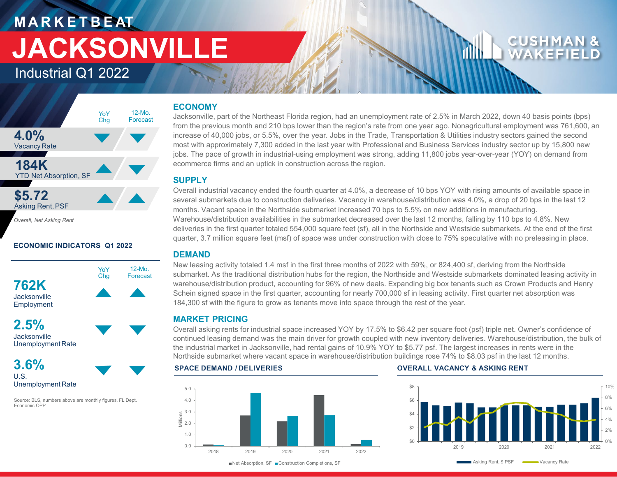## **M A R K E T B E AT JACKSONVILLE**

Industrial Q1 2022

### **4.0%** Vacancy Rate **184K** YTD Net Absorption, SF **\$5.72 Asking Rent, PSF** YoY Chg 12-Mo. Forecast

*Overall, Net Asking Rent*

### **ECONOMIC INDICATORS Q1 2022**



U.S. Unemployment Rate

Source: BLS, numbers above are monthly figures, FL Dept. Economic OPP

### **ECONOMY**

Jacksonville, part of the Northeast Florida region, had an unemployment rate of 2.5% in March 2022, down 40 basis points (bps) from the previous month and 210 bps lower than the region's rate from one year ago. Nonagricultural employment was 761,600, an increase of 40,000 jobs, or 5.5%, over the year. Jobs in the Trade, Transportation & Utilities industry sectors gained the second most with approximately 7,300 added in the last year with Professional and Business Services industry sector up by 15,800 new jobs. The pace of growth in industrial-using employment was strong, adding 11,800 jobs year-over-year (YOY) on demand from ecommerce firms and an uptick in construction across the region.

### **SUPPLY**

Overall industrial vacancy ended the fourth quarter at 4.0%, a decrease of 10 bps YOY with rising amounts of available space in several submarkets due to construction deliveries. Vacancy in warehouse/distribution was 4.0%, a drop of 20 bps in the last 12 months. Vacant space in the Northside submarket increased 70 bps to 5.5% on new additions in manufacturing. Warehouse/distribution availabilities in the submarket decreased over the last 12 months, falling by 110 bps to 4.8%. New deliveries in the first quarter totaled 554,000 square feet (sf), all in the Northside and Westside submarkets. At the end of the first quarter, 3.7 million square feet (msf) of space was under construction with close to 75% speculative with no preleasing in place.

### **DEMAND**

New leasing activity totaled 1.4 msf in the first three months of 2022 with 59%, or 824,400 sf, deriving from the Northside submarket. As the traditional distribution hubs for the region, the Northside and Westside submarkets dominated leasing activity in warehouse/distribution product, accounting for 96% of new deals. Expanding big box tenants such as Crown Products and Henry Schein signed space in the first quarter, accounting for nearly 700,000 sf in leasing activity. First quarter net absorption was 184,300 sf with the figure to grow as tenants move into space through the rest of the year.

### **MARKET PRICING**

Overall asking rents for industrial space increased YOY by 17.5% to \$6.42 per square foot (psf) triple net. Owner's confidence of continued leasing demand was the main driver for growth coupled with new inventory deliveries. Warehouse/distribution, the bulk of the industrial market in Jacksonville, had rental gains of 10.9% YOY to \$5.77 psf. The largest increases in rents were in the Northside submarket where vacant space in warehouse/distribution buildings rose 74% to \$8.03 psf in the last 12 months.

### 5.0



### **SPACE DEMAND / DELIVERIES OVERALL VACANCY & ASKING RENT**



■ Net Absorption, SF ■ Construction Completions, SF

Asking Rent, \$ PSF Wacancy Rate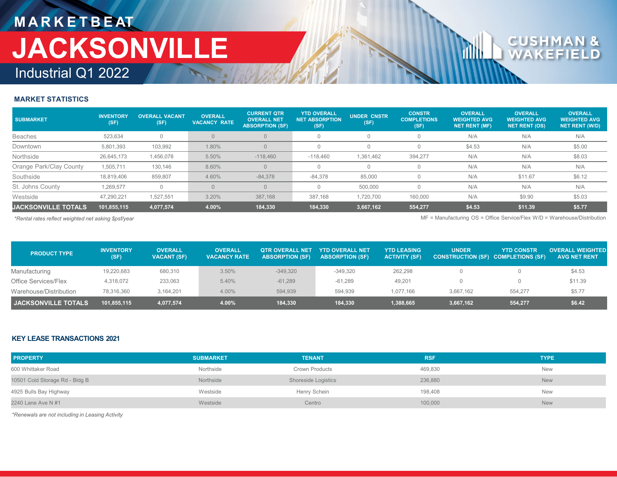### **M A R K E T B E AT** Industrial Q1 2022 **JACKSONVILLE**

# $\mathbf{C} \mathbf{U}$

### **MARKET STATISTICS**

| <b>SUBMARKET</b>           | <b>INVENTORY</b><br>(SF) | <b>OVERALL VACANT</b><br>(SF) | <b>OVERALL</b><br><b>VACANCY RATE</b> | <b>CURRENT QTR</b><br><b>OVERALL NET</b><br><b>ABSORPTION (SF)</b> | <b>YTD OVERALL</b><br><b>NET ABSORPTION</b><br>(SF) | <b>UNDER CNSTR</b><br>(SF) | <b>CONSTR</b><br><b>COMPLETIONS</b><br>(SF) | <b>OVERALL</b><br><b>WEIGHTED AVG</b><br><b>NET RENT (MF)</b> | <b>OVERALL</b><br><b>WEIGHTED AVG</b><br><b>NET RENT (OS)</b> | <b>OVERALL</b><br><b>WEIGHTED AVG</b><br><b>NET RENT (W/D)</b> |
|----------------------------|--------------------------|-------------------------------|---------------------------------------|--------------------------------------------------------------------|-----------------------------------------------------|----------------------------|---------------------------------------------|---------------------------------------------------------------|---------------------------------------------------------------|----------------------------------------------------------------|
| <b>Beaches</b>             | 523.634                  |                               |                                       | $\Omega$                                                           |                                                     |                            |                                             | N/A                                                           | N/A                                                           | N/A                                                            |
| Downtown                   | 5,801,393                | 103,992                       | 1.80%                                 | $\Omega$                                                           |                                                     |                            |                                             | \$4.53                                                        | N/A                                                           | \$5.00                                                         |
| Northside                  | 26,645,173               | 1,456,078                     | 5.50%                                 | $-118,460$                                                         | $-118,460$                                          | 1,361,462                  | 394,277                                     | N/A                                                           | N/A                                                           | \$8.03                                                         |
| Orange Park/Clay County    | 1,505,711                | 130,146                       | 8.60%                                 | $\Omega$                                                           |                                                     |                            |                                             | N/A                                                           | N/A                                                           | N/A                                                            |
| Southside                  | 18,819,406               | 859,807                       | 4.60%                                 | $-84,378$                                                          | $-84,378$                                           | 85,000                     |                                             | N/A                                                           | \$11.67                                                       | \$6.12                                                         |
| St. Johns County           | 1,269,577                |                               |                                       | $\Omega$                                                           |                                                     | 500.000                    |                                             | N/A                                                           | N/A                                                           | N/A                                                            |
| Westside                   | 47.290.221               | 1,527,551                     | 3.20%                                 | 387,168                                                            | 387.168                                             | 1,720,700                  | 160,000                                     | N/A                                                           | \$9.90                                                        | \$5.03                                                         |
| <b>JACKSONVILLE TOTALS</b> | 101,855,115              | 4,077,574                     | 4.00%                                 | 184,330                                                            | 184,330                                             | 3,667,162                  | 554,277                                     | \$4.53                                                        | \$11.39                                                       | \$5.77                                                         |

*\*Rental rates reflect weighted net asking \$psf/year* MF = Manufacturing OS = Office Service/Flex W/D = Warehouse/Distribution

| <b>PRODUCT TYPE</b>    | <b>INVENTORY</b><br>(SF) | <b>OVERALL</b><br><b>VACANT (SF)</b> | <b>OVERALL</b><br><b>VACANCY RATE</b> | <b>OTR OVERALL NET</b><br><b>ABSORPTION (SF)</b> | <b>YTD OVERALL NET</b><br><b>ABSORPTION (SF)</b> | <b>YTD LEASING</b><br><b>ACTIVITY (SF)</b> | <b>UNDER</b><br>CONSTRUCTION (SF) COMPLETIONS (SF) | <b>YTD CONSTR</b> | <b>OVERALL WEIGHTED</b><br><b>AVG NET RENT</b> |
|------------------------|--------------------------|--------------------------------------|---------------------------------------|--------------------------------------------------|--------------------------------------------------|--------------------------------------------|----------------------------------------------------|-------------------|------------------------------------------------|
| Manufacturing          | 19,220,683               | 680,310                              | 3.50%                                 | $-349.320$                                       | -349.320                                         | 262.298                                    |                                                    |                   | \$4.53                                         |
| Office Services/Flex   | 4,318,072                | 233,063                              | 5.40%                                 | $-61,289$                                        | $-61.289$                                        | 49,201                                     |                                                    |                   | \$11.39                                        |
| Warehouse/Distribution | 78,316,360               | 3.164.201                            | 4.00%                                 | 594.939                                          | 594.939                                          | 1.077.166                                  | 3.667.162                                          | 554.277           | \$5.77                                         |
| I JACKSONVILLE TOTALS. | 101,855,115              | 4,077,574                            | 4.00%                                 | 184,330                                          | 184,330                                          | 1,388,665                                  | 3,667,162                                          | 554,277           | \$6.42                                         |

### **KEY LEASE TRANSACTIONS 2021**

| <b>PROPERTY</b>                | <b>SUBMARKET</b> | <b>TENANT</b>              | <b>RSF</b> | <b>TYPE</b> |
|--------------------------------|------------------|----------------------------|------------|-------------|
| 600 Whittaker Road             | Northside        | Crown Products             | 469,830    | New         |
| 10501 Cold Storage Rd - Bldg B | Northside        | <b>Shoreside Logistics</b> | 236,880    | <b>New</b>  |
| 4925 Bulls Bay Highway         | Westside         | Henry Schein               | 198,408    | New         |
| 2240 Lane Ave N #1             | Westside         | Centro                     | 100,000    | <b>New</b>  |

*\*Renewals are not including in Leasing Activity*